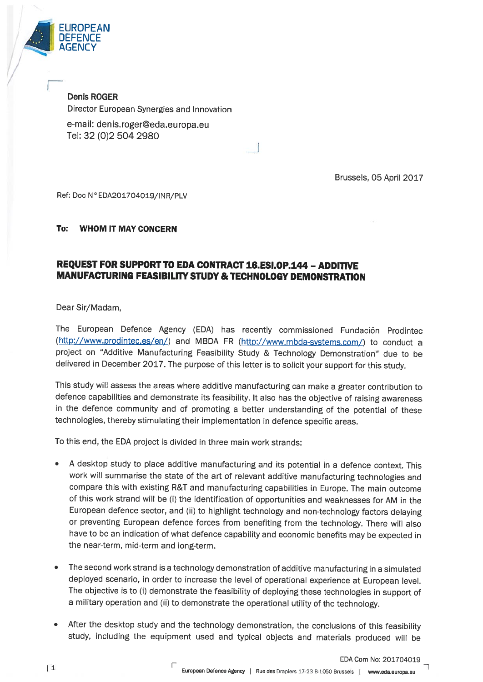

Denis ROGER Director European Synergies and Innovation e-mail: denis.roger@eda.europa.eu Tel: 32 (0)2 504 2980

Brussels, 05 April 2017

Ref: Doc N°EDA201704019/INR/PLV

## To: WHOM IT MAY CONCERN

## REQUEST FOR SUPPORT TO EDA CONTRACT 16.ESI.OP.144 - ADDITIVE MANUFACTURING FEASIBILITY STUDY & TECHNOLOGY DEMONSTRATION

Dear Sir/Madam,

The European Defence Agency (EDA) has recently commissioned Fundación Prodintec (http://www.prodintec.es/en/) and MBDA FR (http://www.mbda-systems.com/) to conduct a project on "Additive Manufacturing Feasibility Study & Technology Demonstration" due to be delivered in December 2017. The purpose of this letter is to solicit your support for this study.

This study will assess the areas where additive manufacturing can make <sup>a</sup> greater contribution to defence capabilities and demonstrate its feasibility. It also has the objective of raising awareness in the defence community and of promoting <sup>a</sup> better understanding of the potential of these technologies, thereby stimulating their implementation in defence specific areas.

To this end, the EDA project is divided in three main work strands:

- <sup>A</sup> desktop study to <sup>p</sup>lace additive manufacturing and its potential in <sup>a</sup> defence context. This work will summarise the state of the art of relevant additive manufacturing technologies and compare this with existing R&T and manufacturing capabilities in Europe. The main outcome of this work strand will be (i) the identification of opportunities and weaknesses for AM in the European defence sector, and (ii) to highlight technology and non-technology factors delaying or preventing European defence forces from benefiting from the technology. There will also have to be an indication of what defence capability and economic benefits may be expected in the near-term, mid-term and long-term.
- • The second work strand is <sup>a</sup> technology demonstration of additive manufacturing in <sup>a</sup> simulated deployed scenario, in order to increase the level of operational experience at European level. The objective is to (i) demonstrate the feasibility of deploying these technologies in support of <sup>a</sup> military operation and (ii) to demonstrate the operational utility of the technology.
- After the desktop study and the technology demonstration, the conclusions of this feasibility study, including the equipment used and typical objects and materials produced will be